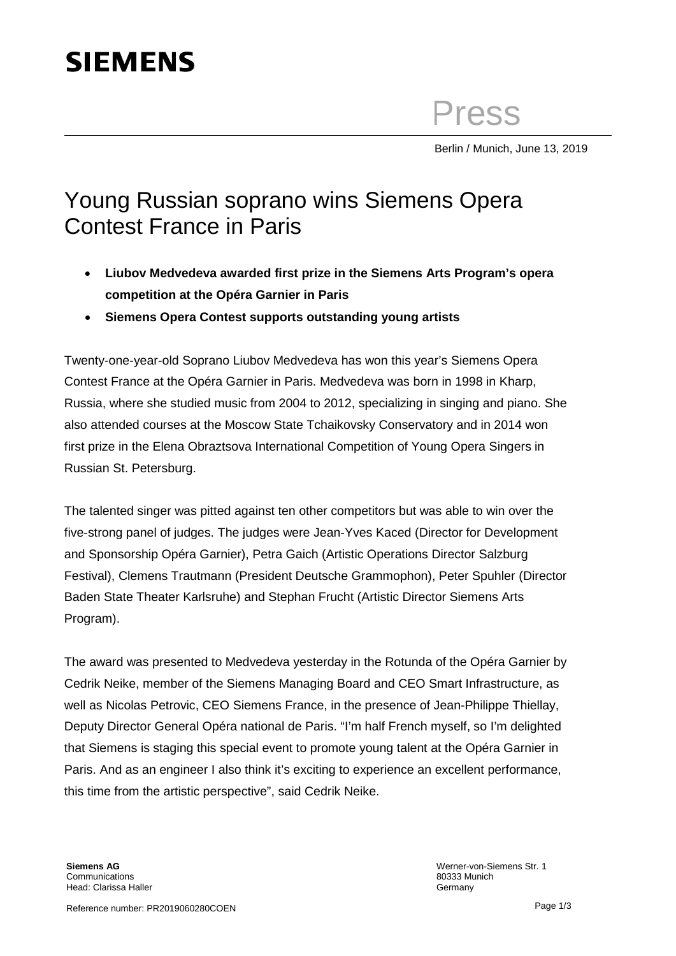## **SIEMENS**

Press

Berlin / Munich, June 13, 2019

## Young Russian soprano wins Siemens Opera Contest France in Paris

- **Liubov Medvedeva awarded first prize in the Siemens Arts Program's opera competition at the Opéra Garnier in Paris**
- **Siemens Opera Contest supports outstanding young artists**

Twenty-one-year-old Soprano Liubov Medvedeva has won this year's Siemens Opera Contest France at the Opéra Garnier in Paris. Medvedeva was born in 1998 in Kharp, Russia, where she studied music from 2004 to 2012, specializing in singing and piano. She also attended courses at the Moscow State Tchaikovsky Conservatory and in 2014 won first prize in the Elena Obraztsova International Competition of Young Opera Singers in Russian St. Petersburg.

The talented singer was pitted against ten other competitors but was able to win over the five-strong panel of judges. The judges were Jean-Yves Kaced (Director for Development and Sponsorship Opéra Garnier), Petra Gaich (Artistic Operations Director Salzburg Festival), Clemens Trautmann (President Deutsche Grammophon), Peter Spuhler (Director Baden State Theater Karlsruhe) and Stephan Frucht (Artistic Director Siemens Arts Program).

The award was presented to Medvedeva yesterday in the Rotunda of the Opéra Garnier by Cedrik Neike, member of the Siemens Managing Board and CEO Smart Infrastructure, as well as Nicolas Petrovic, CEO Siemens France, in the presence of Jean-Philippe Thiellay, Deputy Director General Opéra national de Paris. "I'm half French myself, so I'm delighted that Siemens is staging this special event to promote young talent at the Opéra Garnier in Paris. And as an engineer I also think it's exciting to experience an excellent performance, this time from the artistic perspective", said Cedrik Neike.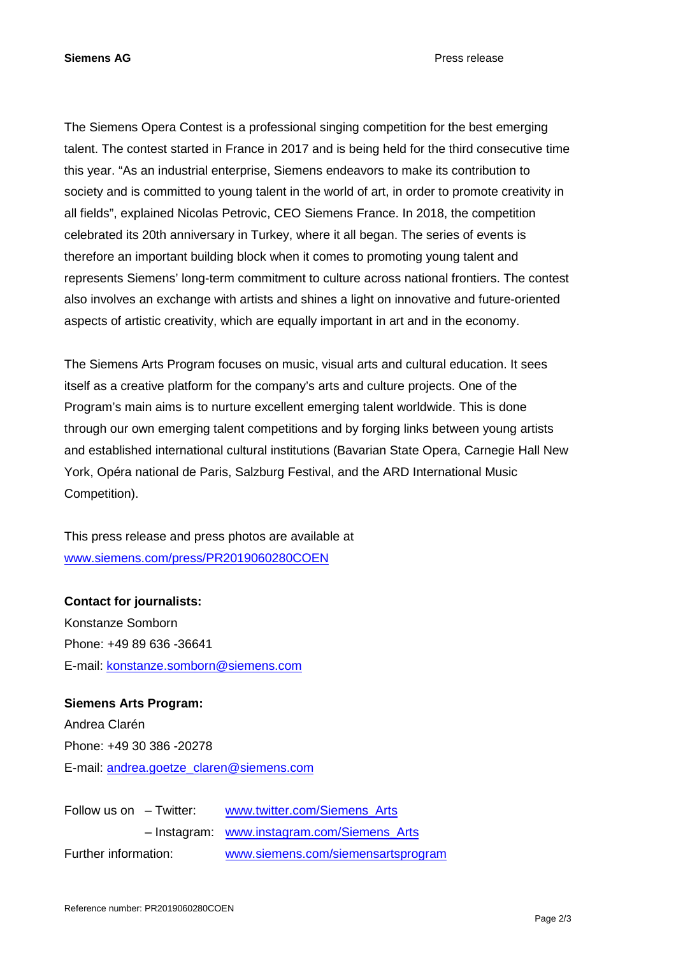The Siemens Opera Contest is a professional singing competition for the best emerging talent. The contest started in France in 2017 and is being held for the third consecutive time this year. "As an industrial enterprise, Siemens endeavors to make its contribution to society and is committed to young talent in the world of art, in order to promote creativity in all fields", explained Nicolas Petrovic, CEO Siemens France. In 2018, the competition celebrated its 20th anniversary in Turkey, where it all began. The series of events is therefore an important building block when it comes to promoting young talent and represents Siemens' long-term commitment to culture across national frontiers. The contest also involves an exchange with artists and shines a light on innovative and future-oriented aspects of artistic creativity, which are equally important in art and in the economy.

The Siemens Arts Program focuses on music, visual arts and cultural education. It sees itself as a creative platform for the company's arts and culture projects. One of the Program's main aims is to nurture excellent emerging talent worldwide. This is done through our own emerging talent competitions and by forging links between young artists and established international cultural institutions (Bavarian State Opera, Carnegie Hall New York, Opéra national de Paris, Salzburg Festival, and the ARD International Music Competition).

This press release and press photos are available at [www.siemens.com/press/PR2019060280COEN](http://www.siemens.com/press/PR2019060280COEN)

**Contact for journalists:**  Konstanze Somborn Phone: +49 89 636 -36641 E-mail: [konstanze.somborn@siemens.com](mailto:konstanze.somborn@siemens.com)

**Siemens Arts Program:**  Andrea Clarén Phone: +49 30 386 -20278 E-mail: [andrea.goetze\\_claren@siemens.com](mailto:andrea.goetze_claren@siemens.com)

| Follow us on $-$ Twitter: |  | www.twitter.com/Siemens Arts                |
|---------------------------|--|---------------------------------------------|
|                           |  | - Instagram: www.instagram.com/Siemens_Arts |
| Further information:      |  | www.siemens.com/siemensartsprogram          |